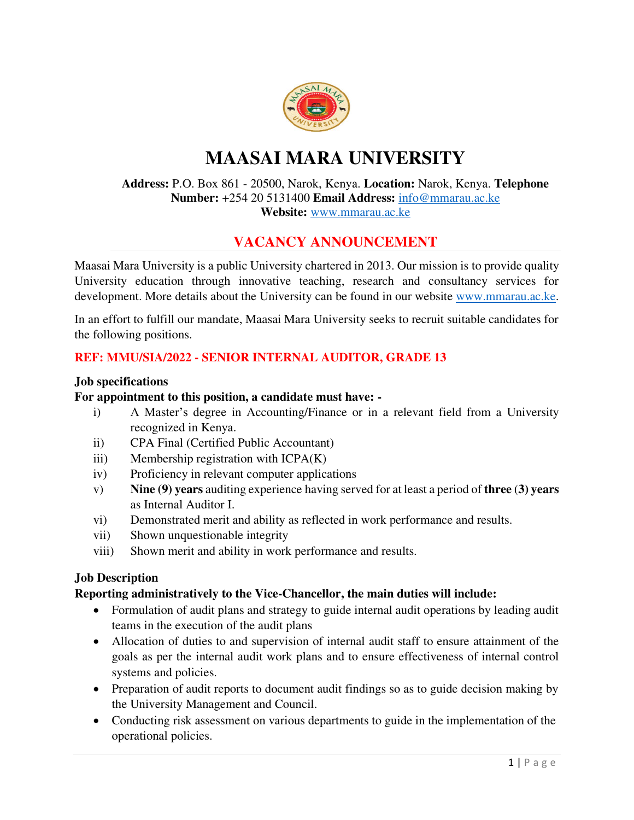

# **MAASAI MARA UNIVERSITY**

#### **Address:** P.O. Box 861 - 20500, Narok, Kenya. **Location:** Narok, [Kenya.](https://www.courseseye.com/institutions/Kenya/) **Telephone Number:** +254 20 5131400 **Email Address:** [info@mmarau.ac.ke](mailto:info@mmarau.ac.ke)  **Website:** [www.mmarau.ac.ke](http://www.mmarau.ac.ke/)

# **VACANCY ANNOUNCEMENT**

Maasai Mara University is a public University chartered in 2013. Our mission is to provide quality University education through innovative teaching, research and consultancy services for development. More details about the University can be found in our website [www.mmarau.ac.ke.](http://www.mmarau.ac.ke/)

In an effort to fulfill our mandate, Maasai Mara University seeks to recruit suitable candidates for the following positions.

### **REF: MMU/SIA/2022 - SENIOR INTERNAL AUDITOR, GRADE 13**

#### **Job specifications**

#### **For appointment to this position, a candidate must have: -**

- i) A Master's degree in Accounting/Finance or in a relevant field from a University recognized in Kenya.
- ii) CPA Final (Certified Public Accountant)
- iii) Membership registration with ICPA(K)
- iv) Proficiency in relevant computer applications
- v) **Nine (9) years** auditing experience having served for at least a period of **three** (**3) years** as Internal Auditor I.
- vi) Demonstrated merit and ability as reflected in work performance and results.
- vii) Shown unquestionable integrity
- viii) Shown merit and ability in work performance and results.

#### **Job Description**

#### **Reporting administratively to the Vice-Chancellor, the main duties will include:**

- Formulation of audit plans and strategy to guide internal audit operations by leading audit teams in the execution of the audit plans
- Allocation of duties to and supervision of internal audit staff to ensure attainment of the goals as per the internal audit work plans and to ensure effectiveness of internal control systems and policies.
- Preparation of audit reports to document audit findings so as to guide decision making by the University Management and Council.
- Conducting risk assessment on various departments to guide in the implementation of the operational policies.